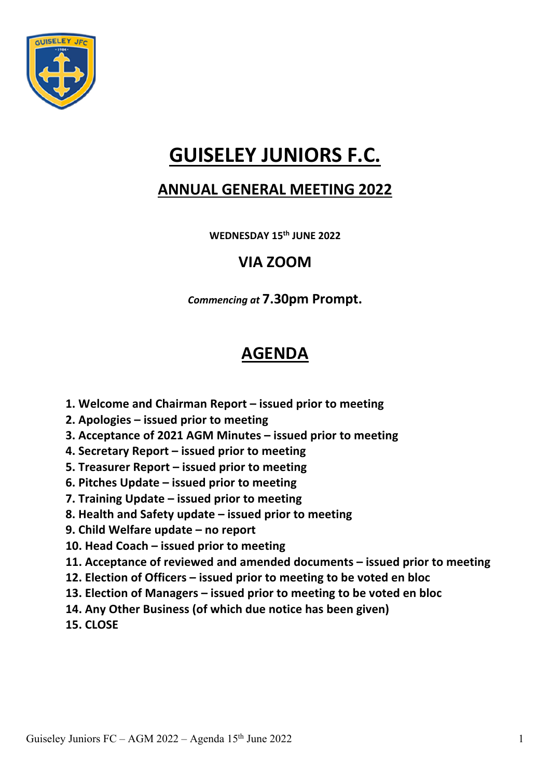

# **GUISELEY JUNIORS F.C.**

### **ANNUAL GENERAL MEETING 2022**

**WEDNESDAY 15th JUNE 2022**

### **VIA ZOOM**

*Commencing at* **7.30pm Prompt.**

## **AGENDA**

- **1. Welcome and Chairman Report – issued prior to meeting**
- **2. Apologies – issued prior to meeting**
- **3. Acceptance of 2021 AGM Minutes – issued prior to meeting**
- **4. Secretary Report – issued prior to meeting**
- **5. Treasurer Report – issued prior to meeting**
- **6. Pitches Update – issued prior to meeting**
- **7. Training Update – issued prior to meeting**
- **8. Health and Safety update – issued prior to meeting**
- **9. Child Welfare update – no report**
- **10. Head Coach – issued prior to meeting**
- **11. Acceptance of reviewed and amended documents – issued prior to meeting**
- **12. Election of Officers – issued prior to meeting to be voted en bloc**
- **13. Election of Managers – issued prior to meeting to be voted en bloc**
- **14. Any Other Business (of which due notice has been given)**
- **15. CLOSE**